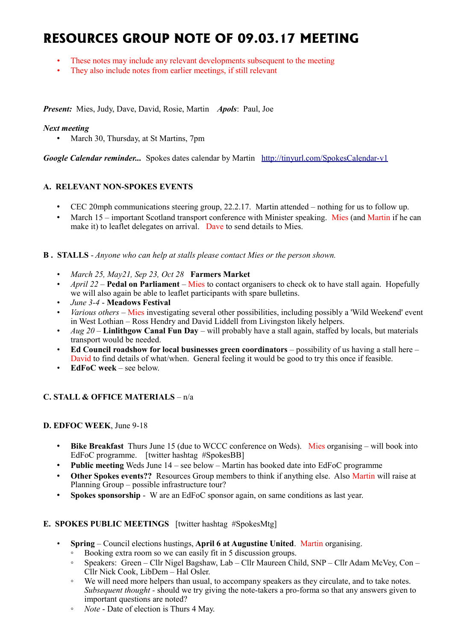# **RESOURCES GROUP NOTE OF 09.03.17 MEETING**

- These notes may include any relevant developments subsequent to the meeting
- They also include notes from earlier meetings, if still relevant

*Present:* Mies, Judy, Dave, David, Rosie, Martin *Apols*: Paul, Joe

## *Next meeting*

• March 30, Thursday, at St Martins, 7pm

*Google Calendar reminder...* Spokes dates calendar by Martin <http://tinyurl.com/SpokesCalendar-v1>

# **A. RELEVANT NON-SPOKES EVENTS**

- CEC 20mph communications steering group, 22.2.17. Martin attended nothing for us to follow up.
- March 15 important Scotland transport conference with Minister speaking. Mies (and Martin if he can make it) to leaflet delegates on arrival. Dave to send details to Mies.

**B . STALLS** - *Anyone who can help at stalls please contact Mies or the person shown.*

- *March 25, May21, Sep 23, Oct 28* **Farmers Market**
- *April 22 –* **Pedal on Parliament** Mies to contact organisers to check ok to have stall again. Hopefully we will also again be able to leaflet participants with spare bulletins.
- *June 3-4* **Meadows Festival**
- *Various others* Mies investigating several other possibilities, including possibly a 'Wild Weekend' event in West Lothian – Ross Hendry and David Liddell from Livingston likely helpers.
- *Aug 20* **Linlithgow Canal Fun Day** will probably have a stall again, staffed by locals, but materials transport would be needed.
- **Ed Council roadshow for local businesses green coordinators** possibility of us having a stall here David to find details of what/when. General feeling it would be good to try this once if feasible.
- **EdFoC week** see below.

# **C. STALL & OFFICE MATERIALS** – n/a

#### **D. EDFOC WEEK**, June 9-18

- **Bike Breakfast** Thurs June 15 (due to WCCC conference on Weds). Mies organising will book into EdFoC programme. [twitter hashtag #SpokesBB]
- **Public meeting** Weds June 14 see below Martin has booked date into EdFoC programme
- **Other Spokes events??** Resources Group members to think if anything else. Also Martin will raise at Planning Group – possible infrastructure tour?
- **Spokes sponsorship** W are an EdFoC sponsor again, on same conditions as last year.

### **E. SPOKES PUBLIC MEETINGS** [twitter hashtag #SpokesMtg]

- **Spring** Council elections hustings, **April 6 at Augustine United**. Martin organising.
	- Booking extra room so we can easily fit in 5 discussion groups.
	- Speakers: Green Cllr Nigel Bagshaw, Lab Cllr Maureen Child, SNP Cllr Adam McVey, Con Cllr Nick Cook, LibDem – Hal Osler.
	- We will need more helpers than usual, to accompany speakers as they circulate, and to take notes. *Subsequent thought -* should we try giving the note-takers a pro-forma so that any answers given to important questions are noted?
	- *Note* Date of election is Thurs 4 May.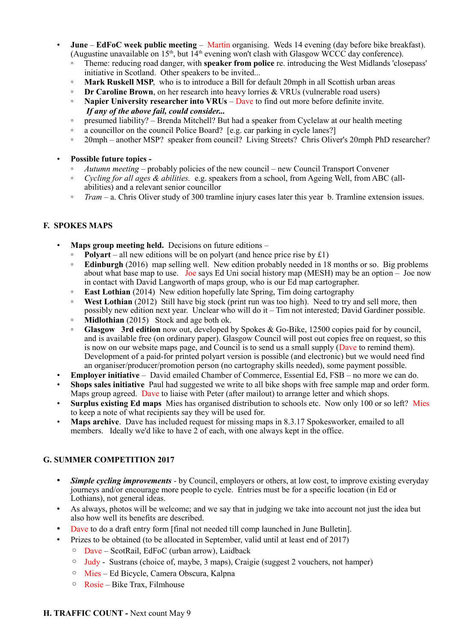- **June EdFoC week public meeting** Martin organising. Weds 14 evening (day before bike breakfast). (Augustine unavailable on  $15<sup>th</sup>$ , but  $14<sup>th</sup>$  evening won't clash with Glasgow WCCC day conference).
	- Theme: reducing road danger, with **speaker from police** re. introducing the West Midlands 'closepass' initiative in Scotland. Other speakers to be invited...
	- **Mark Ruskell MSP**, who is to introduce a Bill for default 20mph in all Scottish urban areas
	- **Dr Caroline Brown**, on her research into heavy lorries & VRUs (vulnerable road users)
	- **Napier University researcher into VRUs** Dave to find out more before definite invite. *If any of the above fail, could consider...*
	- presumed liability? Brenda Mitchell? But had a speaker from Cyclelaw at our health meeting
	- a councillor on the council Police Board? [e.g. car parking in cycle lanes?]
	- 20mph another MSP? speaker from council? Living Streets? Chris Oliver's 20mph PhD researcher?
- **Possible future topics -**
	- *Autumn meeting* probably policies of the new council new Council Transport Convener
	- *Cycling for all ages & abilities.* e.g. speakers from a school, from Ageing Well, from ABC (allabilities) and a relevant senior councillor
	- *Tram* a. Chris Oliver study of 300 tramline injury cases later this year b. Tramline extension issues.

# **F. SPOKES MAPS**

- **Maps group meeting held.** Decisions on future editions
	- **Polyart** all new editions will be on polyart (and hence price rise by  $£1)$ )
	- **Edinburgh** (2016) map selling well. New edition probably needed in 18 months or so. Big problems about what base map to use. Joe says Ed Uni social history map (MESH) may be an option – Joe now in contact with David Langworth of maps group, who is our Ed map cartographer.
	- **East Lothian** (2014) New edition hopefully late Spring, Tim doing cartography
	- **West Lothian** (2012) Still have big stock (print run was too high). Need to try and sell more, then possibly new edition next year. Unclear who will do it – Tim not interested; David Gardiner possible.
	- **Midlothian** (2015) Stock and age both ok.
	- **Glasgow 3rd edition** now out, developed by Spokes & Go-Bike, 12500 copies paid for by council, and is available free (on ordinary paper). Glasgow Council will post out copies free on request, so this is now on our website maps page, and Council is to send us a small supply (Dave to remind them). Development of a paid-for printed polyart version is possible (and electronic) but we would need find an organiser/producer/promotion person (no cartography skills needed), some payment possible.
- **Employer initiative** David emailed Chamber of Commerce, Essential Ed, FSB no more we can do.
- **Shops sales initiative** Paul had suggested we write to all bike shops with free sample map and order form. Maps group agreed. Dave to liaise with Peter (after mailout) to arrange letter and which shops.
- **Surplus existing Ed maps** Mies has organised distribution to schools etc. Now only 100 or so left? Mies to keep a note of what recipients say they will be used for.
- **Maps archive.** Dave has included request for missing maps in 8.3.17 Spokesworker, emailed to all members. Ideally we'd like to have 2 of each, with one always kept in the office.

# **G. SUMMER COMPETITION 2017**

- *Simple cycling improvements* by Council, employers or others, at low cost, to improve existing everyday journeys and/or encourage more people to cycle. Entries must be for a specific location (in Ed or Lothians), not general ideas.
- As always, photos will be welcome; and we say that in judging we take into account not just the idea but also how well its benefits are described.
- Dave to do a draft entry form [final not needed till comp launched in June Bulletin].
- Prizes to be obtained (to be allocated in September, valid until at least end of 2017)
	- Dave ScotRail, EdFoC (urban arrow), Laidback
	- Judy Sustrans (choice of, maybe, 3 maps), Craigie (suggest 2 vouchers, not hamper)
	- Mies Ed Bicycle, Camera Obscura, Kalpna
	- Rosie Bike Trax, Filmhouse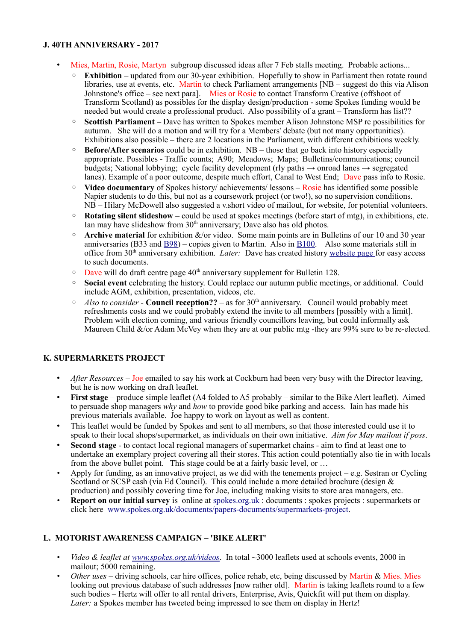### **J. 40TH ANNIVERSARY - 2017**

- Mies, Martin, Rosie, Martyn subgroup discussed ideas after 7 Feb stalls meeting. Probable actions...
	- **Exhibition** updated from our 30-year exhibition. Hopefully to show in Parliament then rotate round libraries, use at events, etc. Martin to check Parliament arrangements [NB – suggest do this via Alison Johnstone's office – see next para]. Mies or Rosie to contact Transform Creative (offshoot of Transform Scotland) as possibles for the display design/production - some Spokes funding would be needed but would create a professional product. Also possibility of a grant – Transform has list??
	- **Scottish Parliament**  Dave has written to Spokes member Alison Johnstone MSP re possibilities for autumn. She will do a motion and will try for a Members' debate (but not many opportunities). Exhibitions also possible – there are 2 locations in the Parliament, with different exhibitions weekly.
	- **Before/After scenarios** could be in exhibition. NB those that go back into history especially appropriate. Possibles - Traffic counts; A90; Meadows; Maps; Bulletins/communications; council budgets; National lobbying; cycle facility development (rly paths  $\rightarrow$  onroad lanes  $\rightarrow$  segregated lanes). Example of a poor outcome, despite much effort, Canal to West End; Dave pass info to Rosie.
	- **Video documentary** of Spokes history/ achievements/ lessons Rosie has identified some possible Napier students to do this, but not as a coursework project (or two!), so no supervision conditions. NB – Hilary McDowell also suggested a v.short video of mailout, for website, for potential volunteers.
	- **Rotating silent slideshow** could be used at spokes meetings (before start of mtg), in exhibitions, etc. Ian may have slideshow from 30<sup>th</sup> anniversary; Dave also has old photos.
	- **Archive material** for exhibition &/or video. Some main points are in Bulletins of our 10 and 30 year anniversaries (B33 and  $\underline{B98}$ ) – copies given to Martin. Also in  $\underline{B100}$ . Also some materials still in office from 30<sup>th</sup> anniversary exhibition. *Later:* Dave has created history [website page f](http://www.spokes.org.uk/documents/odds-and-ends-may-be-exciting/spokes-history/)or easy access to such documents.
	- $\degree$  Dave will do draft centre page 40<sup>th</sup> anniversary supplement for Bulletin 128.
	- **Social event** celebrating the history. Could replace our autumn public meetings, or additional. Could include AGM, exhibition, presentation, videos, etc.
	- *Also to consider* **Council reception??** as for 30th anniversary. Council would probably meet refreshments costs and we could probably extend the invite to all members [possibly with a limit]. Problem with election coming, and various friendly councillors leaving, but could informally ask Maureen Child &/or Adam McVey when they are at our public mtg -they are 99% sure to be re-elected.

# **K. SUPERMARKETS PROJECT**

- *After Resources* Joe emailed to say his work at Cockburn had been very busy with the Director leaving, but he is now working on draft leaflet.
- **First stage** produce simple leaflet (A4 folded to A5 probably similar to the Bike Alert leaflet). Aimed to persuade shop managers *why* and *how* to provide good bike parking and access. Iain has made his previous materials available. Joe happy to work on layout as well as content.
- This leaflet would be funded by Spokes and sent to all members, so that those interested could use it to speak to their local shops/supermarket, as individuals on their own initiative. *Aim for May mailout if poss*.
- **Second stage**  to contact local regional managers of supermarket chains aim to find at least one to undertake an exemplary project covering all their stores. This action could potentially also tie in with locals from the above bullet point. This stage could be at a fairly basic level, or …
- Apply for funding, as an innovative project, as we did with the tenements project e.g. Sestran or Cycling Scotland or SCSP cash (via Ed Council). This could include a more detailed brochure (design & production) and possibly covering time for Joe, including making visits to store area managers, etc.
- **Report on our initial survey** is online at [spokes.org.uk](http://spokes.org.uk/) : documents : spokes projects : supermarkets or click here [www.spokes.org.uk/documents/papers-documents/supermarkets-project.](http://www.spokes.org.uk/documents/papers-documents/supermarkets-project)

# **L. MOTORIST AWARENESS CAMPAIGN – 'BIKE ALERT'**

- *Video & leaflet at [www.spokes.org.uk/videos](http://www.spokes.org.uk/videos)*. In total ~3000 leaflets used at schools events, 2000 in mailout; 5000 remaining.
- *Other uses* driving schools, car hire offices, police rehab, etc, being discussed by Martin & Mies. Mies looking out previous database of such addresses [now rather old]. Martin is taking leaflets round to a few such bodies – Hertz will offer to all rental drivers, Enterprise, Avis, Quickfit will put them on display. *Later:* a Spokes member has tweeted being impressed to see them on display in Hertz!